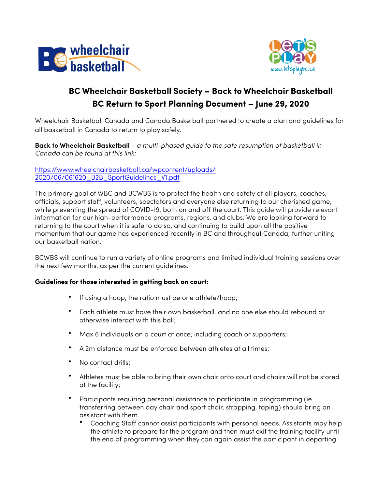



## **BC Wheelchair Basketball Society – Back to Wheelchair Basketball BC Return to Sport Planning Document – June 29, 2020**

Wheelchair Basketball Canada and Canada Basketball partnered to create a plan and guidelines for all basketball in Canada to return to play safely.

**Back to Wheelchair Basketball** - *a multi-phased guide to the safe resumption of basketball in Canada can be found at this link:*

[https://www.wheelchairbasketball.ca/wpcontent/uploads/](https://www.wheelchairbasketball.ca/wp-content/uploads/2020/06/061620_B2B_SportGuidelines_V1.pdf) [2020/06/061620\\_B2B\\_SportGuidelines\\_V1.pdf](https://www.wheelchairbasketball.ca/wp-content/uploads/2020/06/061620_B2B_SportGuidelines_V1.pdf)

The primary goal of WBC and BCWBS is to protect the health and safety of all players, coaches, officials, support staff, volunteers, spectators and everyone else returning to our cherished game, while preventing the spread of COVID-19, both on and off the court. This guide will provide relevant information for our high-performance programs, regions, and clubs. We are looking forward to returning to the court when it is safe to do so, and continuing to build upon all the positive momentum that our game has experienced recently in BC and throughout Canada; further uniting our basketball nation.

BCWBS will continue to run a variety of online programs and limited individual training sessions over the next few months, as per the current guidelines.

## **Guidelines for those interested in getting back on court:**

- If using a hoop, the ratio must be one athlete/hoop;
- Each athlete must have their own basketball, and no one else should rebound or otherwise interact with this ball;
- Max 6 individuals on a court at once, including coach or supporters;
- A 2m distance must be enforced between athletes at all times;
- No contact drills;
- Athletes must be able to bring their own chair onto court and chairs will not be stored at the facility;
- Participants requiring personal assistance to participate in programming (ie. transferring between day chair and sport chair, strapping, taping) should bring an assistant with them.
	- Coaching Staff cannot assist participants with personal needs. Assistants may help the athlete to prepare for the program and then must exit the training facility until the end of programming when they can again assist the participant in departing.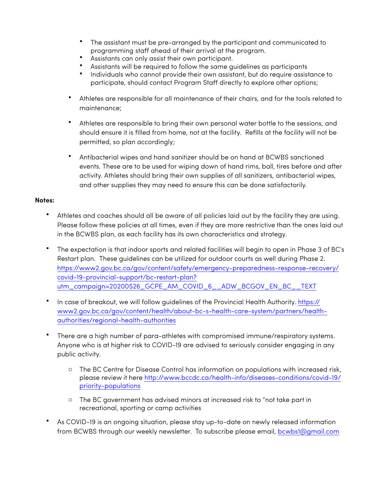- The assistant must be pre-arranged by the participant and communicated to programming staff ahead of their arrival at the program.
- Assistants can only assist their own participant.
- Assistants will be required to follow the same guidelines as participants
- Individuals who cannot provide their own assistant, but do require assistance to participate, should contact Program Staff directly to explore other options;
- Athletes are responsible for all maintenance of their chairs, and for the tools related to maintenance;
- Athletes are responsible to bring their own personal water bottle to the sessions, and should ensure it is filled from home, not at the facility. Refills at the facility will not be permitted, so plan accordingly;
- Antibacterial wipes and hand sanitizer should be on hand at BCWBS sanctioned events. These are to be used for wiping down of hand rims, ball, tires before and after activity. Athletes should bring their own supplies of all sanitizers, antibacterial wipes, and other supplies they may need to ensure this can be done satisfactorily.

## **Notes:**

- Athletes and coaches should all be aware of all policies laid out by the facility they are using. Please follow these policies at all times, even if they are more restrictive than the ones laid out in the BCWBS plan, as each facility has its own characteristics and strategy.
- The expectation is that indoor sports and related facilities will begin to open in Phase 3 of BC's Restart plan. These guidelines can be utilized for outdoor courts as well during Phase 2. [https://www2.gov.bc.ca/gov/content/safety/emergency-preparedness-response-recovery/](https://www2.gov.bc.ca/gov/content/safety/emergency-preparedness-response-recovery/covid-19-provincial-support/bc-restart-plan?utm_campaign=20200526_GCPE_AM_COVID_6__ADW_BCGOV_EN_BC__TEXT) [covid-19-provincial-support/bc-restart-plan?](https://www2.gov.bc.ca/gov/content/safety/emergency-preparedness-response-recovery/covid-19-provincial-support/bc-restart-plan?utm_campaign=20200526_GCPE_AM_COVID_6__ADW_BCGOV_EN_BC__TEXT) [utm\\_campaign=20200526\\_GCPE\\_AM\\_COVID\\_6\\_\\_ADW\\_BCGOV\\_EN\\_BC\\_\\_TEXT](https://www2.gov.bc.ca/gov/content/safety/emergency-preparedness-response-recovery/covid-19-provincial-support/bc-restart-plan?utm_campaign=20200526_GCPE_AM_COVID_6__ADW_BCGOV_EN_BC__TEXT)
- In case of breakout, we will follow guidelines of the Provincial Health Authority. [https://](https://www2.gov.bc.ca/gov/content/health/about-bc-s-health-care-system/partners/health-authorities/regional-health-authorities) [www2.gov.bc.ca/gov/content/health/about-bc-s-health-care-system/partners/health](https://www2.gov.bc.ca/gov/content/health/about-bc-s-health-care-system/partners/health-authorities/regional-health-authorities)[authorities/regional-health-authorities](https://www2.gov.bc.ca/gov/content/health/about-bc-s-health-care-system/partners/health-authorities/regional-health-authorities)
- There are a high number of para-athletes with compromised immune/respiratory systems. Anyone who is at higher risk to COVID-19 are advised to seriously consider engaging in any public activity.
	- o The BC Centre for Disease Control has information on populations with increased risk, please review it here [http://www.bccdc.ca/health-info/diseases-conditions/covid-19/](http://www.bccdc.ca/health-info/diseases-conditions/covid-19/priority-populations) [priority-populations](http://www.bccdc.ca/health-info/diseases-conditions/covid-19/priority-populations)
	- o The BC government has advised minors at increased risk to "not take part in recreational, sporting or camp activities
- As COVID-19 is an ongoing situation, please stay up-to-date on newly released information from BCWBS through our weekly newsletter. To subscribe please email, [bcwbs1@gmail.com](mailto:bcwbs1@gmail.com)